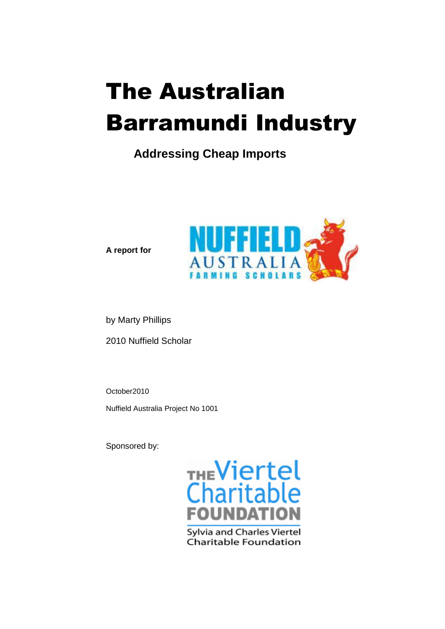# The Australian Barramundi Industry

### **Addressing Cheap Imports**



**A report for**

by Marty Phillips 2010 Nuffield Scholar

October2010 Nuffield Australia Project No 1001

Sponsored by:



Charitable Foundation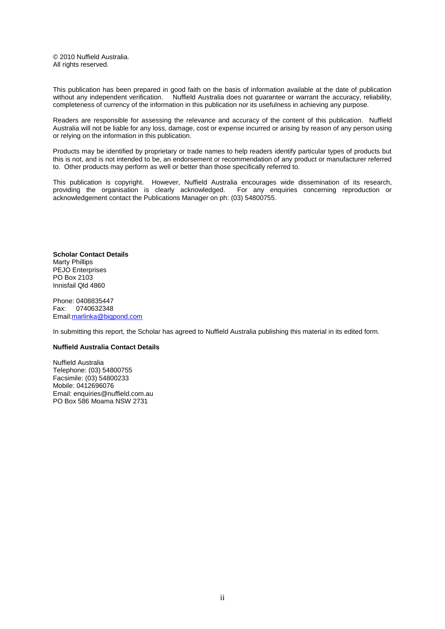© 2010 Nuffield Australia. All rights reserved.

This publication has been prepared in good faith on the basis of information available at the date of publication without any independent verification. Nuffield Australia does not guarantee or warrant the accuracy, reliability, completeness of currency of the information in this publication nor its usefulness in achieving any purpose.

Readers are responsible for assessing the relevance and accuracy of the content of this publication. Nuffield Australia will not be liable for any loss, damage, cost or expense incurred or arising by reason of any person using or relying on the information in this publication.

Products may be identified by proprietary or trade names to help readers identify particular types of products but this is not, and is not intended to be, an endorsement or recommendation of any product or manufacturer referred to. Other products may perform as well or better than those specifically referred to.

This publication is copyright. However, Nuffield Australia encourages wide dissemination of its research, providing the organisation is clearly acknowledged. For any enquiries concerning reproduction or acknowledgement contact the Publications Manager on ph: (03) 54800755.

**Scholar Contact Details** Marty Phillips PEJO Enterprises PO Box 2103 Innisfail Qld 4860

Phone: 0408835447 Fax: 0740632348 Email[:marlinka@bigpond.com](mailto:marlinka@bigpond.com)

In submitting this report, the Scholar has agreed to Nuffield Australia publishing this material in its edited form.

#### **Nuffield Australia Contact Details**

Nuffield Australia Telephone: (03) 54800755 Facsimile: (03) 54800233 Mobile: 0412696076 Email: enquiries@nuffield.com.au PO Box 586 Moama NSW 2731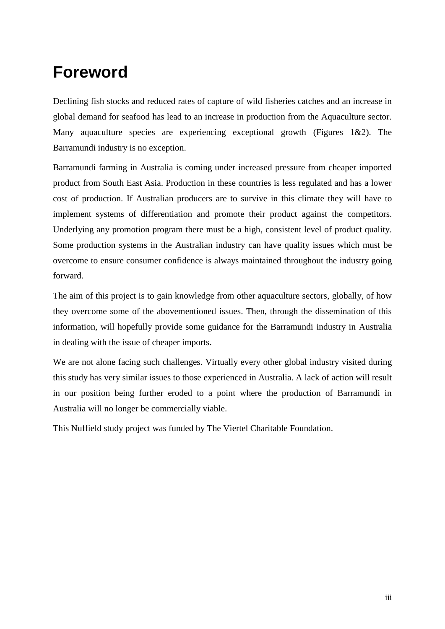### **Foreword**

Declining fish stocks and reduced rates of capture of wild fisheries catches and an increase in global demand for seafood has lead to an increase in production from the Aquaculture sector. Many aquaculture species are experiencing exceptional growth (Figures 1&2). The Barramundi industry is no exception.

Barramundi farming in Australia is coming under increased pressure from cheaper imported product from South East Asia. Production in these countries is less regulated and has a lower cost of production. If Australian producers are to survive in this climate they will have to implement systems of differentiation and promote their product against the competitors. Underlying any promotion program there must be a high, consistent level of product quality. Some production systems in the Australian industry can have quality issues which must be overcome to ensure consumer confidence is always maintained throughout the industry going forward.

The aim of this project is to gain knowledge from other aquaculture sectors, globally, of how they overcome some of the abovementioned issues. Then, through the dissemination of this information, will hopefully provide some guidance for the Barramundi industry in Australia in dealing with the issue of cheaper imports.

We are not alone facing such challenges. Virtually every other global industry visited during this study has very similar issues to those experienced in Australia. A lack of action will result in our position being further eroded to a point where the production of Barramundi in Australia will no longer be commercially viable.

This Nuffield study project was funded by The Viertel Charitable Foundation.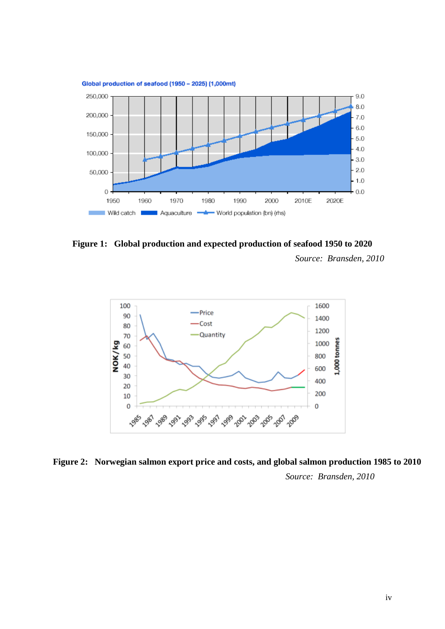

**Figure 1: Global production and expected production of seafood 1950 to 2020** *Source: Bransden, 2010*



**Figure 2: Norwegian salmon export price and costs, and global salmon production 1985 to 2010** *Source: Bransden, 2010*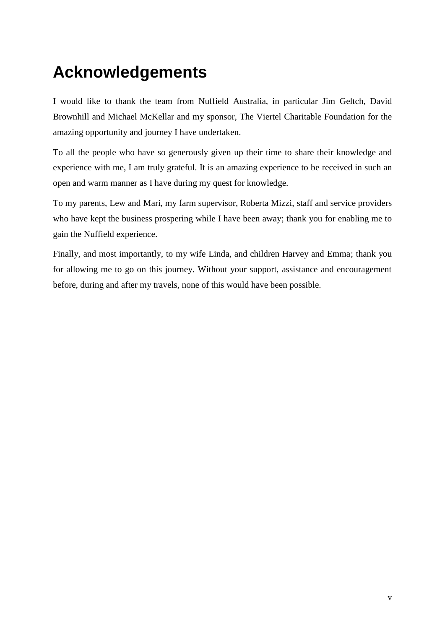# **Acknowledgements**

I would like to thank the team from Nuffield Australia, in particular Jim Geltch, David Brownhill and Michael McKellar and my sponsor, The Viertel Charitable Foundation for the amazing opportunity and journey I have undertaken.

To all the people who have so generously given up their time to share their knowledge and experience with me, I am truly grateful. It is an amazing experience to be received in such an open and warm manner as I have during my quest for knowledge.

To my parents, Lew and Mari, my farm supervisor, Roberta Mizzi, staff and service providers who have kept the business prospering while I have been away; thank you for enabling me to gain the Nuffield experience.

Finally, and most importantly, to my wife Linda, and children Harvey and Emma; thank you for allowing me to go on this journey. Without your support, assistance and encouragement before, during and after my travels, none of this would have been possible.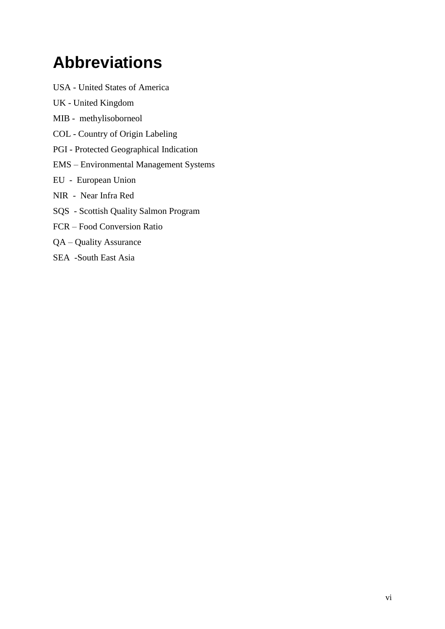# **Abbreviations**

- USA United States of America
- UK United Kingdom
- MIB methylisoborneol
- COL Country of Origin Labeling
- PGI Protected Geographical Indication
- EMS Environmental Management Systems
- EU European Union
- NIR Near Infra Red
- SQS Scottish Quality Salmon Program
- FCR Food Conversion Ratio
- QA Quality Assurance
- SEA -South East Asia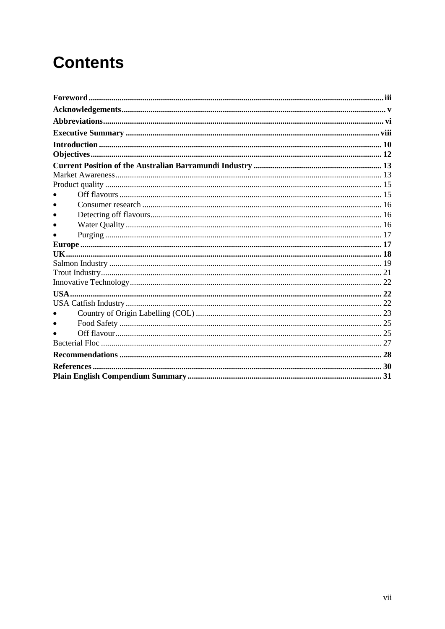# **Contents**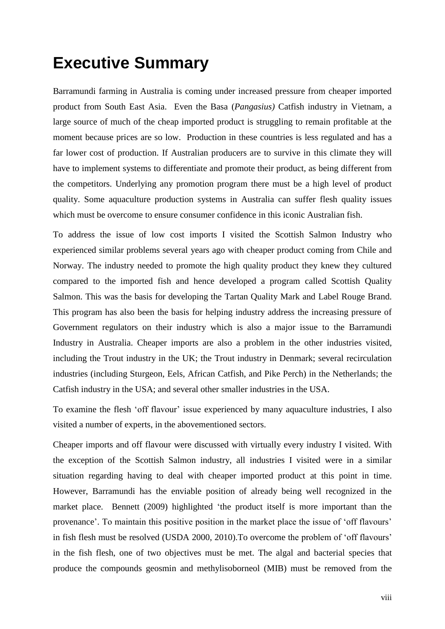### **Executive Summary**

Barramundi farming in Australia is coming under increased pressure from cheaper imported product from South East Asia. Even the Basa (*Pangasius)* Catfish industry in Vietnam, a large source of much of the cheap imported product is struggling to remain profitable at the moment because prices are so low. Production in these countries is less regulated and has a far lower cost of production. If Australian producers are to survive in this climate they will have to implement systems to differentiate and promote their product, as being different from the competitors. Underlying any promotion program there must be a high level of product quality. Some aquaculture production systems in Australia can suffer flesh quality issues which must be overcome to ensure consumer confidence in this iconic Australian fish.

To address the issue of low cost imports I visited the Scottish Salmon Industry who experienced similar problems several years ago with cheaper product coming from Chile and Norway. The industry needed to promote the high quality product they knew they cultured compared to the imported fish and hence developed a program called Scottish Quality Salmon. This was the basis for developing the Tartan Quality Mark and Label Rouge Brand. This program has also been the basis for helping industry address the increasing pressure of Government regulators on their industry which is also a major issue to the Barramundi Industry in Australia. Cheaper imports are also a problem in the other industries visited, including the Trout industry in the UK; the Trout industry in Denmark; several recirculation industries (including Sturgeon, Eels, African Catfish, and Pike Perch) in the Netherlands; the Catfish industry in the USA; and several other smaller industries in the USA.

To examine the flesh 'off flavour' issue experienced by many aquaculture industries, I also visited a number of experts, in the abovementioned sectors.

Cheaper imports and off flavour were discussed with virtually every industry I visited. With the exception of the Scottish Salmon industry, all industries I visited were in a similar situation regarding having to deal with cheaper imported product at this point in time. However, Barramundi has the enviable position of already being well recognized in the market place. Bennett (2009) highlighted 'the product itself is more important than the provenance'. To maintain this positive position in the market place the issue of 'off flavours' in fish flesh must be resolved (USDA 2000, 2010).To overcome the problem of 'off flavours' in the fish flesh, one of two objectives must be met. The algal and bacterial species that produce the compounds geosmin and methylisoborneol (MIB) must be removed from the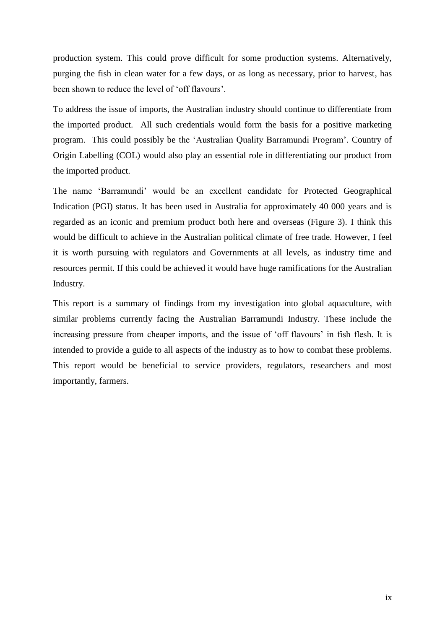production system. This could prove difficult for some production systems. Alternatively, purging the fish in clean water for a few days, or as long as necessary, prior to harvest, has been shown to reduce the level of 'off flavours'.

To address the issue of imports, the Australian industry should continue to differentiate from the imported product. All such credentials would form the basis for a positive marketing program. This could possibly be the 'Australian Quality Barramundi Program'. Country of Origin Labelling (COL) would also play an essential role in differentiating our product from the imported product.

The name 'Barramundi' would be an excellent candidate for Protected Geographical Indication (PGI) status. It has been used in Australia for approximately 40 000 years and is regarded as an iconic and premium product both here and overseas (Figure 3). I think this would be difficult to achieve in the Australian political climate of free trade. However, I feel it is worth pursuing with regulators and Governments at all levels, as industry time and resources permit. If this could be achieved it would have huge ramifications for the Australian Industry.

This report is a summary of findings from my investigation into global aquaculture, with similar problems currently facing the Australian Barramundi Industry. These include the increasing pressure from cheaper imports, and the issue of 'off flavours' in fish flesh. It is intended to provide a guide to all aspects of the industry as to how to combat these problems. This report would be beneficial to service providers, regulators, researchers and most importantly, farmers.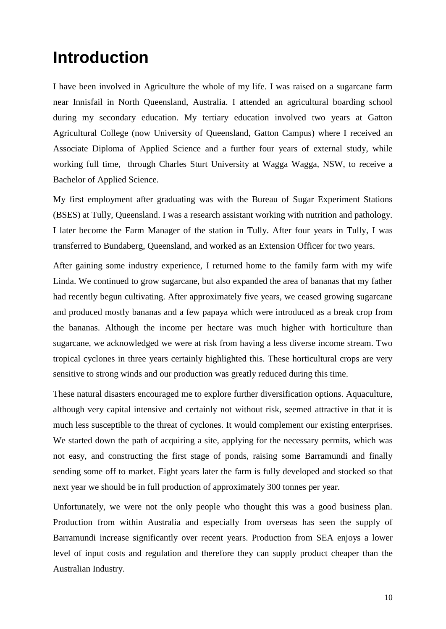### **Introduction**

I have been involved in Agriculture the whole of my life. I was raised on a sugarcane farm near Innisfail in North Queensland, Australia. I attended an agricultural boarding school during my secondary education. My tertiary education involved two years at Gatton Agricultural College (now University of Queensland, Gatton Campus) where I received an Associate Diploma of Applied Science and a further four years of external study, while working full time, through Charles Sturt University at Wagga Wagga, NSW, to receive a Bachelor of Applied Science.

My first employment after graduating was with the Bureau of Sugar Experiment Stations (BSES) at Tully, Queensland. I was a research assistant working with nutrition and pathology. I later become the Farm Manager of the station in Tully. After four years in Tully, I was transferred to Bundaberg, Queensland, and worked as an Extension Officer for two years.

After gaining some industry experience, I returned home to the family farm with my wife Linda. We continued to grow sugarcane, but also expanded the area of bananas that my father had recently begun cultivating. After approximately five years, we ceased growing sugarcane and produced mostly bananas and a few papaya which were introduced as a break crop from the bananas. Although the income per hectare was much higher with horticulture than sugarcane, we acknowledged we were at risk from having a less diverse income stream. Two tropical cyclones in three years certainly highlighted this. These horticultural crops are very sensitive to strong winds and our production was greatly reduced during this time.

These natural disasters encouraged me to explore further diversification options. Aquaculture, although very capital intensive and certainly not without risk, seemed attractive in that it is much less susceptible to the threat of cyclones. It would complement our existing enterprises. We started down the path of acquiring a site, applying for the necessary permits, which was not easy, and constructing the first stage of ponds, raising some Barramundi and finally sending some off to market. Eight years later the farm is fully developed and stocked so that next year we should be in full production of approximately 300 tonnes per year.

Unfortunately, we were not the only people who thought this was a good business plan. Production from within Australia and especially from overseas has seen the supply of Barramundi increase significantly over recent years. Production from SEA enjoys a lower level of input costs and regulation and therefore they can supply product cheaper than the Australian Industry.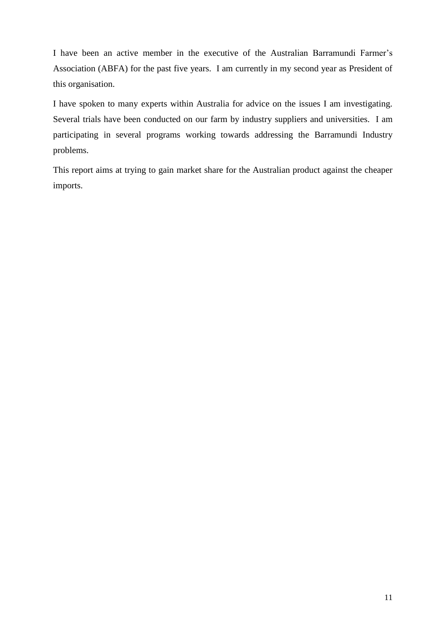I have been an active member in the executive of the Australian Barramundi Farmer's Association (ABFA) for the past five years. I am currently in my second year as President of this organisation.

I have spoken to many experts within Australia for advice on the issues I am investigating. Several trials have been conducted on our farm by industry suppliers and universities. I am participating in several programs working towards addressing the Barramundi Industry problems.

This report aims at trying to gain market share for the Australian product against the cheaper imports.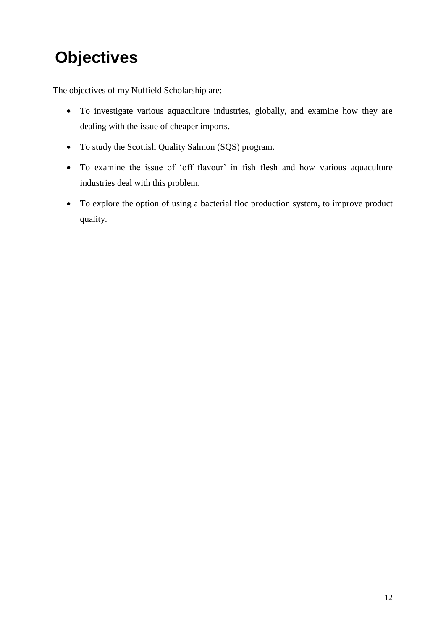# **Objectives**

The objectives of my Nuffield Scholarship are:

- To investigate various aquaculture industries, globally, and examine how they are dealing with the issue of cheaper imports.
- To study the Scottish Quality Salmon (SQS) program.
- To examine the issue of 'off flavour' in fish flesh and how various aquaculture industries deal with this problem.
- To explore the option of using a bacterial floc production system, to improve product quality.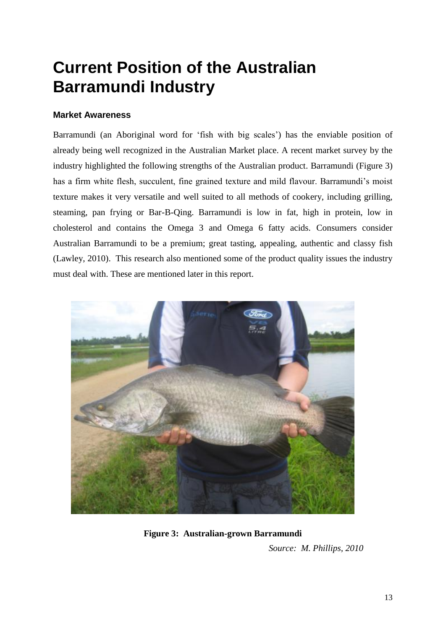# **Current Position of the Australian Barramundi Industry**

#### **Market Awareness**

Barramundi (an Aboriginal word for 'fish with big scales') has the enviable position of already being well recognized in the Australian Market place. A recent market survey by the industry highlighted the following strengths of the Australian product. Barramundi (Figure 3) has a firm white flesh, succulent, fine grained texture and mild flavour. Barramundi's moist texture makes it very versatile and well suited to all methods of cookery, including grilling, steaming, pan frying or Bar-B-Qing. Barramundi is low in fat, high in protein, low in cholesterol and contains the Omega 3 and Omega 6 fatty acids. Consumers consider Australian Barramundi to be a premium; great tasting, appealing, authentic and classy fish (Lawley, 2010). This research also mentioned some of the product quality issues the industry must deal with. These are mentioned later in this report.



**Figure 3: Australian-grown Barramundi**

*Source: M. Phillips, 2010*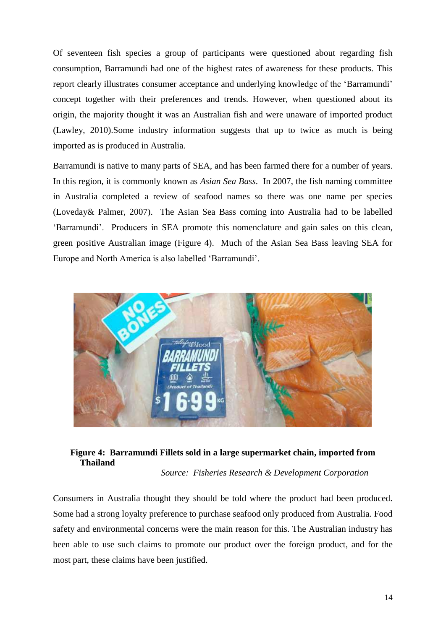Of seventeen fish species a group of participants were questioned about regarding fish consumption, Barramundi had one of the highest rates of awareness for these products. This report clearly illustrates consumer acceptance and underlying knowledge of the 'Barramundi' concept together with their preferences and trends. However, when questioned about its origin, the majority thought it was an Australian fish and were unaware of imported product (Lawley, 2010).Some industry information suggests that up to twice as much is being imported as is produced in Australia.

Barramundi is native to many parts of SEA, and has been farmed there for a number of years. In this region, it is commonly known as *Asian Sea Bass*. In 2007, the fish naming committee in Australia completed a review of seafood names so there was one name per species (Loveday& Palmer, 2007). The Asian Sea Bass coming into Australia had to be labelled 'Barramundi'. Producers in SEA promote this nomenclature and gain sales on this clean, green positive Australian image (Figure 4). Much of the Asian Sea Bass leaving SEA for Europe and North America is also labelled 'Barramundi'.



#### **Figure 4: Barramundi Fillets sold in a large supermarket chain, imported from Thailand**

*Source: Fisheries Research & Development Corporation*

Consumers in Australia thought they should be told where the product had been produced. Some had a strong loyalty preference to purchase seafood only produced from Australia. Food safety and environmental concerns were the main reason for this. The Australian industry has been able to use such claims to promote our product over the foreign product, and for the most part, these claims have been justified.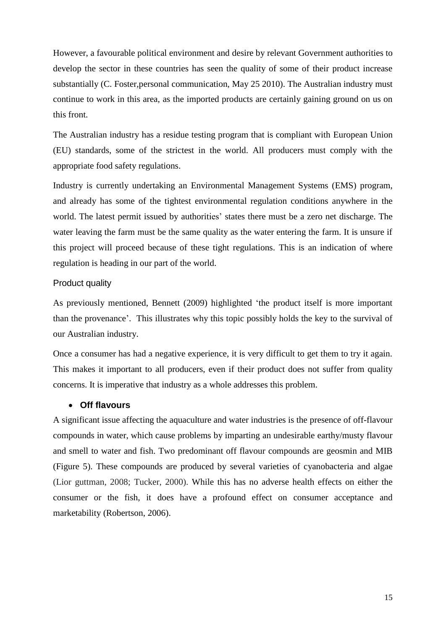However, a favourable political environment and desire by relevant Government authorities to develop the sector in these countries has seen the quality of some of their product increase substantially (C. Foster,personal communication, May 25 2010). The Australian industry must continue to work in this area, as the imported products are certainly gaining ground on us on this front.

The Australian industry has a residue testing program that is compliant with European Union (EU) standards, some of the strictest in the world. All producers must comply with the appropriate food safety regulations.

Industry is currently undertaking an Environmental Management Systems (EMS) program, and already has some of the tightest environmental regulation conditions anywhere in the world. The latest permit issued by authorities' states there must be a zero net discharge. The water leaving the farm must be the same quality as the water entering the farm. It is unsure if this project will proceed because of these tight regulations. This is an indication of where regulation is heading in our part of the world.

#### Product quality

As previously mentioned, Bennett (2009) highlighted 'the product itself is more important than the provenance'. This illustrates why this topic possibly holds the key to the survival of our Australian industry.

Once a consumer has had a negative experience, it is very difficult to get them to try it again. This makes it important to all producers, even if their product does not suffer from quality concerns. It is imperative that industry as a whole addresses this problem.

#### **Off flavours**

A significant issue affecting the aquaculture and water industries is the presence of off-flavour compounds in water, which cause problems by imparting an undesirable earthy/musty flavour and smell to water and fish. Two predominant off flavour compounds are geosmin and MIB (Figure 5). These compounds are produced by several varieties of cyanobacteria and algae (Lior guttman, 2008; Tucker, 2000). While this has no adverse health effects on either the consumer or the fish, it does have a profound effect on consumer acceptance and marketability (Robertson, 2006).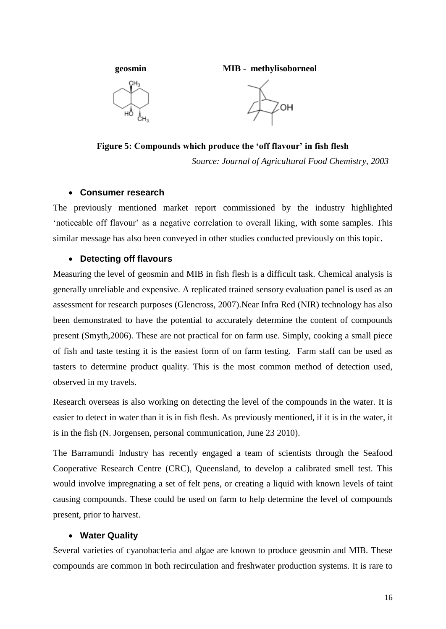

**Figure 5: Compounds which produce the 'off flavour' in fish flesh**

*Source: Journal of Agricultural Food Chemistry, 2003*

#### **Consumer research**

The previously mentioned market report commissioned by the industry highlighted 'noticeable off flavour' as a negative correlation to overall liking, with some samples. This similar message has also been conveyed in other studies conducted previously on this topic.

#### **Detecting off flavours**

Measuring the level of geosmin and MIB in fish flesh is a difficult task. Chemical analysis is generally unreliable and expensive. A replicated trained sensory evaluation panel is used as an assessment for research purposes (Glencross, 2007).Near Infra Red (NIR) technology has also been demonstrated to have the potential to accurately determine the content of compounds present (Smyth,2006). These are not practical for on farm use. Simply, cooking a small piece of fish and taste testing it is the easiest form of on farm testing. Farm staff can be used as tasters to determine product quality. This is the most common method of detection used, observed in my travels.

Research overseas is also working on detecting the level of the compounds in the water. It is easier to detect in water than it is in fish flesh. As previously mentioned, if it is in the water, it is in the fish (N. Jorgensen, personal communication, June 23 2010).

The Barramundi Industry has recently engaged a team of scientists through the Seafood Cooperative Research Centre (CRC), Queensland, to develop a calibrated smell test. This would involve impregnating a set of felt pens, or creating a liquid with known levels of taint causing compounds. These could be used on farm to help determine the level of compounds present, prior to harvest.

#### **Water Quality**

Several varieties of cyanobacteria and algae are known to produce geosmin and MIB. These compounds are common in both recirculation and freshwater production systems. It is rare to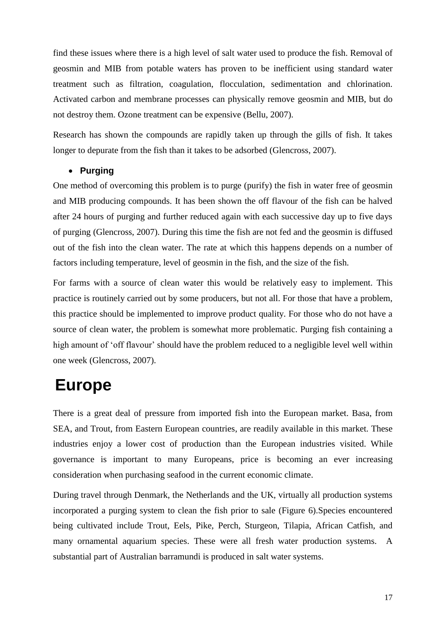find these issues where there is a high level of salt water used to produce the fish. Removal of geosmin and MIB from potable waters has proven to be inefficient using standard water treatment such as filtration, coagulation, flocculation, sedimentation and chlorination. Activated carbon and membrane processes can physically remove geosmin and MIB, but do not destroy them. Ozone treatment can be expensive (Bellu, 2007).

Research has shown the compounds are rapidly taken up through the gills of fish. It takes longer to depurate from the fish than it takes to be adsorbed (Glencross, 2007).

#### **Purging**

One method of overcoming this problem is to purge (purify) the fish in water free of geosmin and MIB producing compounds. It has been shown the off flavour of the fish can be halved after 24 hours of purging and further reduced again with each successive day up to five days of purging (Glencross, 2007). During this time the fish are not fed and the geosmin is diffused out of the fish into the clean water. The rate at which this happens depends on a number of factors including temperature, level of geosmin in the fish, and the size of the fish.

For farms with a source of clean water this would be relatively easy to implement. This practice is routinely carried out by some producers, but not all. For those that have a problem, this practice should be implemented to improve product quality. For those who do not have a source of clean water, the problem is somewhat more problematic. Purging fish containing a high amount of 'off flavour' should have the problem reduced to a negligible level well within one week (Glencross, 2007).

### **Europe**

There is a great deal of pressure from imported fish into the European market. Basa, from SEA, and Trout, from Eastern European countries, are readily available in this market. These industries enjoy a lower cost of production than the European industries visited. While governance is important to many Europeans, price is becoming an ever increasing consideration when purchasing seafood in the current economic climate.

During travel through Denmark, the Netherlands and the UK, virtually all production systems incorporated a purging system to clean the fish prior to sale (Figure 6).Species encountered being cultivated include Trout, Eels, Pike, Perch, Sturgeon, Tilapia, African Catfish, and many ornamental aquarium species. These were all fresh water production systems. A substantial part of Australian barramundi is produced in salt water systems.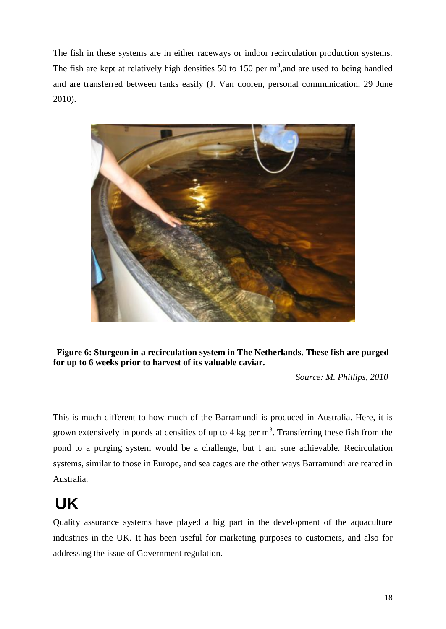The fish in these systems are in either raceways or indoor recirculation production systems. The fish are kept at relatively high densities 50 to 150 per  $m^3$ , and are used to being handled and are transferred between tanks easily (J. Van dooren, personal communication, 29 June 2010).



**Figure 6: Sturgeon in a recirculation system in The Netherlands. These fish are purged for up to 6 weeks prior to harvest of its valuable caviar.**

*Source: M. Phillips, 2010*

This is much different to how much of the Barramundi is produced in Australia. Here, it is grown extensively in ponds at densities of up to 4 kg per  $m<sup>3</sup>$ . Transferring these fish from the pond to a purging system would be a challenge, but I am sure achievable. Recirculation systems, similar to those in Europe, and sea cages are the other ways Barramundi are reared in Australia.

# **UK**

Quality assurance systems have played a big part in the development of the aquaculture industries in the UK. It has been useful for marketing purposes to customers, and also for addressing the issue of Government regulation.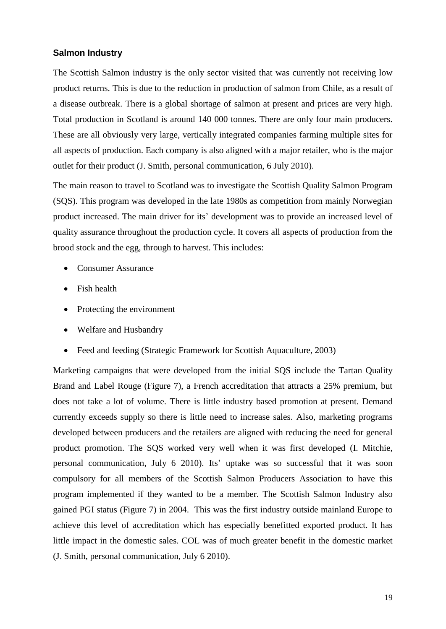#### **Salmon Industry**

The Scottish Salmon industry is the only sector visited that was currently not receiving low product returns. This is due to the reduction in production of salmon from Chile, as a result of a disease outbreak. There is a global shortage of salmon at present and prices are very high. Total production in Scotland is around 140 000 tonnes. There are only four main producers. These are all obviously very large, vertically integrated companies farming multiple sites for all aspects of production. Each company is also aligned with a major retailer, who is the major outlet for their product (J. Smith, personal communication, 6 July 2010).

The main reason to travel to Scotland was to investigate the Scottish Quality Salmon Program (SQS). This program was developed in the late 1980s as competition from mainly Norwegian product increased. The main driver for its' development was to provide an increased level of quality assurance throughout the production cycle. It covers all aspects of production from the brood stock and the egg, through to harvest. This includes:

- Consumer Assurance
- Fish health
- Protecting the environment
- Welfare and Husbandry
- Feed and feeding (Strategic Framework for Scottish Aquaculture, 2003)

Marketing campaigns that were developed from the initial SQS include the Tartan Quality Brand and Label Rouge (Figure 7), a French accreditation that attracts a 25% premium, but does not take a lot of volume. There is little industry based promotion at present. Demand currently exceeds supply so there is little need to increase sales. Also, marketing programs developed between producers and the retailers are aligned with reducing the need for general product promotion. The SQS worked very well when it was first developed (I. Mitchie, personal communication, July 6 2010). Its' uptake was so successful that it was soon compulsory for all members of the Scottish Salmon Producers Association to have this program implemented if they wanted to be a member. The Scottish Salmon Industry also gained PGI status (Figure 7) in 2004. This was the first industry outside mainland Europe to achieve this level of accreditation which has especially benefitted exported product. It has little impact in the domestic sales. COL was of much greater benefit in the domestic market (J. Smith, personal communication, July 6 2010).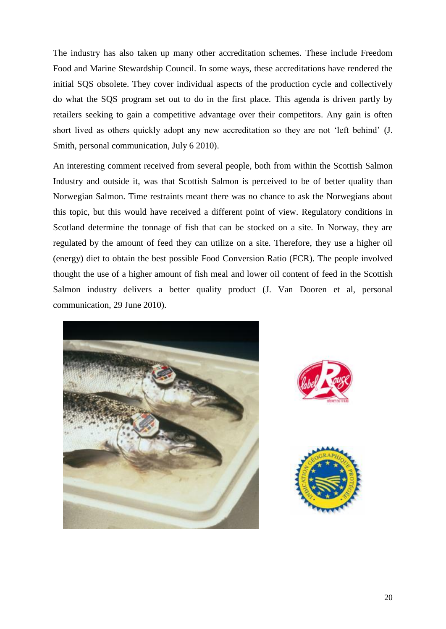The industry has also taken up many other accreditation schemes. These include Freedom Food and Marine Stewardship Council. In some ways, these accreditations have rendered the initial SQS obsolete. They cover individual aspects of the production cycle and collectively do what the SQS program set out to do in the first place. This agenda is driven partly by retailers seeking to gain a competitive advantage over their competitors. Any gain is often short lived as others quickly adopt any new accreditation so they are not 'left behind' (J. Smith, personal communication, July 6 2010).

An interesting comment received from several people, both from within the Scottish Salmon Industry and outside it, was that Scottish Salmon is perceived to be of better quality than Norwegian Salmon. Time restraints meant there was no chance to ask the Norwegians about this topic, but this would have received a different point of view. Regulatory conditions in Scotland determine the tonnage of fish that can be stocked on a site. In Norway, they are regulated by the amount of feed they can utilize on a site. Therefore, they use a higher oil (energy) diet to obtain the best possible Food Conversion Ratio (FCR). The people involved thought the use of a higher amount of fish meal and lower oil content of feed in the Scottish Salmon industry delivers a better quality product (J. Van Dooren et al, personal communication, 29 June 2010).





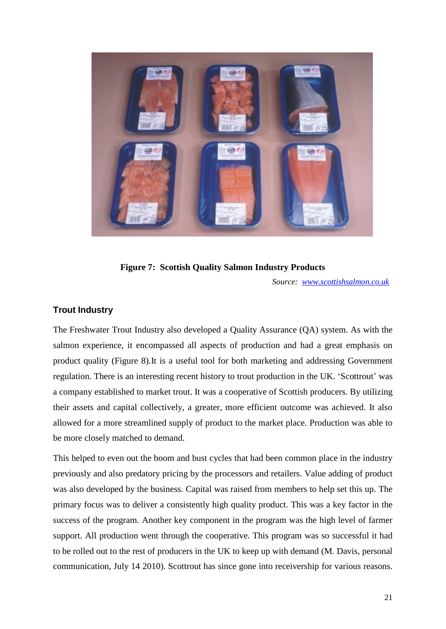

**Figure 7: Scottish Quality Salmon Industry Products**

*Source: [www.scottishsalmon.co.uk](http://www.scottishsalmon.co.uk/)*

#### **Trout Industry**

The Freshwater Trout Industry also developed a Quality Assurance (QA) system. As with the salmon experience, it encompassed all aspects of production and had a great emphasis on product quality (Figure 8).It is a useful tool for both marketing and addressing Government regulation. There is an interesting recent history to trout production in the UK. 'Scottrout' was a company established to market trout. It was a cooperative of Scottish producers. By utilizing their assets and capital collectively, a greater, more efficient outcome was achieved. It also allowed for a more streamlined supply of product to the market place. Production was able to be more closely matched to demand.

This helped to even out the boom and bust cycles that had been common place in the industry previously and also predatory pricing by the processors and retailers. Value adding of product was also developed by the business. Capital was raised from members to help set this up. The primary focus was to deliver a consistently high quality product. This was a key factor in the success of the program. Another key component in the program was the high level of farmer support. All production went through the cooperative. This program was so successful it had to be rolled out to the rest of producers in the UK to keep up with demand (M. Davis, personal communication, July 14 2010). Scottrout has since gone into receivership for various reasons.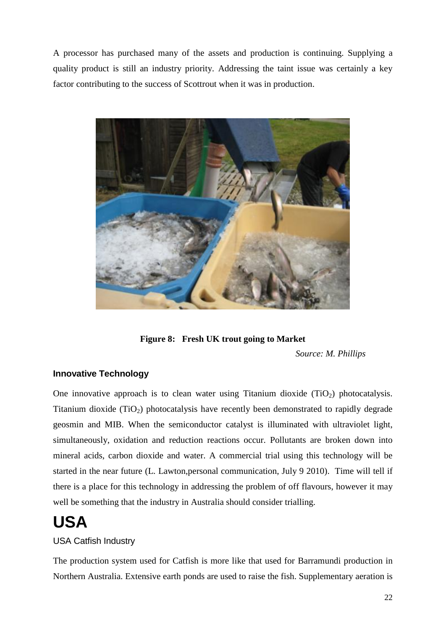A processor has purchased many of the assets and production is continuing. Supplying a quality product is still an industry priority. Addressing the taint issue was certainly a key factor contributing to the success of Scottrout when it was in production.



**Figure 8: Fresh UK trout going to Market**

*Source: M. Phillips*

#### **Innovative Technology**

One innovative approach is to clean water using Titanium dioxide  $(TiO<sub>2</sub>)$  photocatalysis. Titanium dioxide  $(TiO_2)$  photocatalysis have recently been demonstrated to rapidly degrade geosmin and MIB. When the semiconductor catalyst is illuminated with ultraviolet light, simultaneously, oxidation and reduction reactions occur. Pollutants are broken down into mineral acids, carbon dioxide and water. A commercial trial using this technology will be started in the near future (L. Lawton,personal communication, July 9 2010). Time will tell if there is a place for this technology in addressing the problem of off flavours, however it may well be something that the industry in Australia should consider trialling.

### **USA**

#### USA Catfish Industry

The production system used for Catfish is more like that used for Barramundi production in Northern Australia. Extensive earth ponds are used to raise the fish. Supplementary aeration is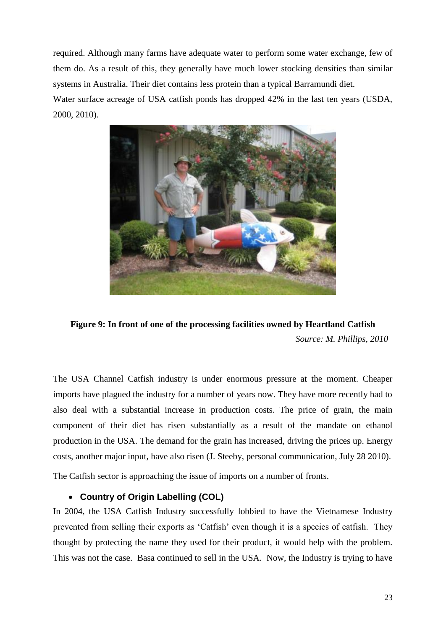required. Although many farms have adequate water to perform some water exchange, few of them do. As a result of this, they generally have much lower stocking densities than similar systems in Australia. Their diet contains less protein than a typical Barramundi diet. Water surface acreage of USA catfish ponds has dropped 42% in the last ten years (USDA, 2000, 2010).



**Figure 9: In front of one of the processing facilities owned by Heartland Catfish** *Source: M. Phillips, 2010*

The USA Channel Catfish industry is under enormous pressure at the moment. Cheaper imports have plagued the industry for a number of years now. They have more recently had to also deal with a substantial increase in production costs. The price of grain, the main component of their diet has risen substantially as a result of the mandate on ethanol production in the USA. The demand for the grain has increased, driving the prices up. Energy costs, another major input, have also risen (J. Steeby, personal communication, July 28 2010).

The Catfish sector is approaching the issue of imports on a number of fronts.

#### **Country of Origin Labelling (COL)**

In 2004, the USA Catfish Industry successfully lobbied to have the Vietnamese Industry prevented from selling their exports as 'Catfish' even though it is a species of catfish. They thought by protecting the name they used for their product, it would help with the problem. This was not the case. Basa continued to sell in the USA. Now, the Industry is trying to have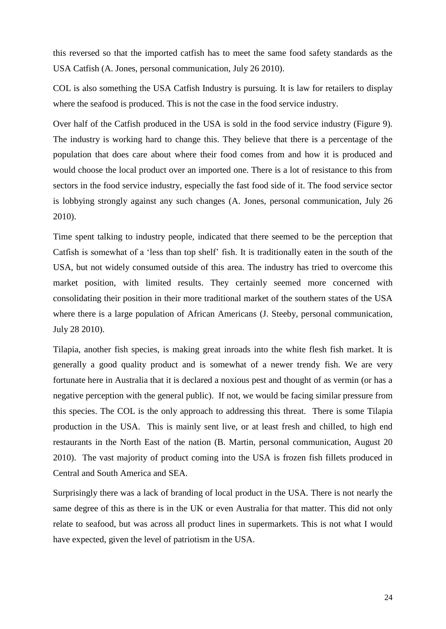this reversed so that the imported catfish has to meet the same food safety standards as the USA Catfish (A. Jones, personal communication, July 26 2010).

COL is also something the USA Catfish Industry is pursuing. It is law for retailers to display where the seafood is produced. This is not the case in the food service industry.

Over half of the Catfish produced in the USA is sold in the food service industry (Figure 9). The industry is working hard to change this. They believe that there is a percentage of the population that does care about where their food comes from and how it is produced and would choose the local product over an imported one. There is a lot of resistance to this from sectors in the food service industry, especially the fast food side of it. The food service sector is lobbying strongly against any such changes (A. Jones, personal communication, July 26 2010).

Time spent talking to industry people, indicated that there seemed to be the perception that Catfish is somewhat of a 'less than top shelf' fish. It is traditionally eaten in the south of the USA, but not widely consumed outside of this area. The industry has tried to overcome this market position, with limited results. They certainly seemed more concerned with consolidating their position in their more traditional market of the southern states of the USA where there is a large population of African Americans (J. Steeby, personal communication, July 28 2010).

Tilapia, another fish species, is making great inroads into the white flesh fish market. It is generally a good quality product and is somewhat of a newer trendy fish. We are very fortunate here in Australia that it is declared a noxious pest and thought of as vermin (or has a negative perception with the general public). If not, we would be facing similar pressure from this species. The COL is the only approach to addressing this threat. There is some Tilapia production in the USA. This is mainly sent live, or at least fresh and chilled, to high end restaurants in the North East of the nation (B. Martin, personal communication, August 20 2010). The vast majority of product coming into the USA is frozen fish fillets produced in Central and South America and SEA.

Surprisingly there was a lack of branding of local product in the USA. There is not nearly the same degree of this as there is in the UK or even Australia for that matter. This did not only relate to seafood, but was across all product lines in supermarkets. This is not what I would have expected, given the level of patriotism in the USA.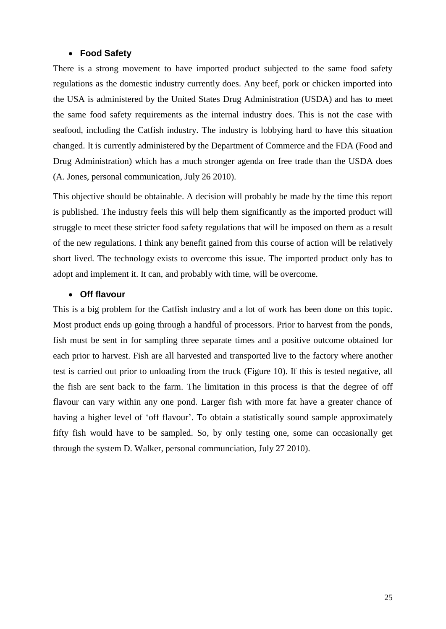#### **Food Safety**

There is a strong movement to have imported product subjected to the same food safety regulations as the domestic industry currently does. Any beef, pork or chicken imported into the USA is administered by the United States Drug Administration (USDA) and has to meet the same food safety requirements as the internal industry does. This is not the case with seafood, including the Catfish industry. The industry is lobbying hard to have this situation changed. It is currently administered by the Department of Commerce and the FDA (Food and Drug Administration) which has a much stronger agenda on free trade than the USDA does (A. Jones, personal communication, July 26 2010).

This objective should be obtainable. A decision will probably be made by the time this report is published. The industry feels this will help them significantly as the imported product will struggle to meet these stricter food safety regulations that will be imposed on them as a result of the new regulations. I think any benefit gained from this course of action will be relatively short lived. The technology exists to overcome this issue. The imported product only has to adopt and implement it. It can, and probably with time, will be overcome.

#### **Off flavour**

This is a big problem for the Catfish industry and a lot of work has been done on this topic. Most product ends up going through a handful of processors. Prior to harvest from the ponds, fish must be sent in for sampling three separate times and a positive outcome obtained for each prior to harvest. Fish are all harvested and transported live to the factory where another test is carried out prior to unloading from the truck (Figure 10). If this is tested negative, all the fish are sent back to the farm. The limitation in this process is that the degree of off flavour can vary within any one pond. Larger fish with more fat have a greater chance of having a higher level of 'off flavour'. To obtain a statistically sound sample approximately fifty fish would have to be sampled. So, by only testing one, some can occasionally get through the system D. Walker, personal communciation, July 27 2010).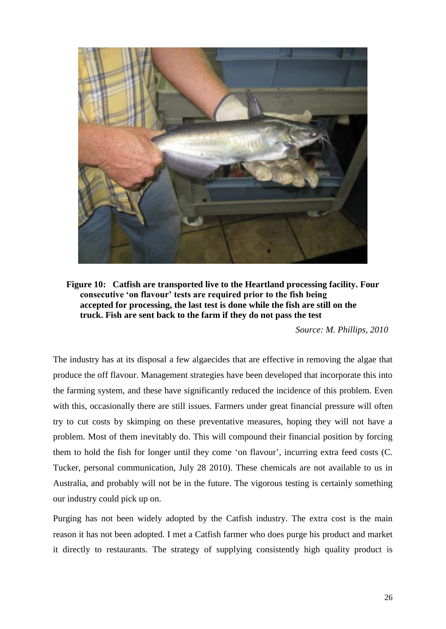

**Figure 10: Catfish are transported live to the Heartland processing facility. Four consecutive 'on flavour' tests are required prior to the fish being accepted for processing, the last test is done while the fish are still on the truck. Fish are sent back to the farm if they do not pass the test**

*Source: M. Phillips, 2010*

The industry has at its disposal a few algaecides that are effective in removing the algae that produce the off flavour. Management strategies have been developed that incorporate this into the farming system, and these have significantly reduced the incidence of this problem. Even with this, occasionally there are still issues. Farmers under great financial pressure will often try to cut costs by skimping on these preventative measures, hoping they will not have a problem. Most of them inevitably do. This will compound their financial position by forcing them to hold the fish for longer until they come 'on flavour', incurring extra feed costs (C. Tucker, personal communication, July 28 2010). These chemicals are not available to us in Australia, and probably will not be in the future. The vigorous testing is certainly something our industry could pick up on.

Purging has not been widely adopted by the Catfish industry. The extra cost is the main reason it has not been adopted. I met a Catfish farmer who does purge his product and market it directly to restaurants. The strategy of supplying consistently high quality product is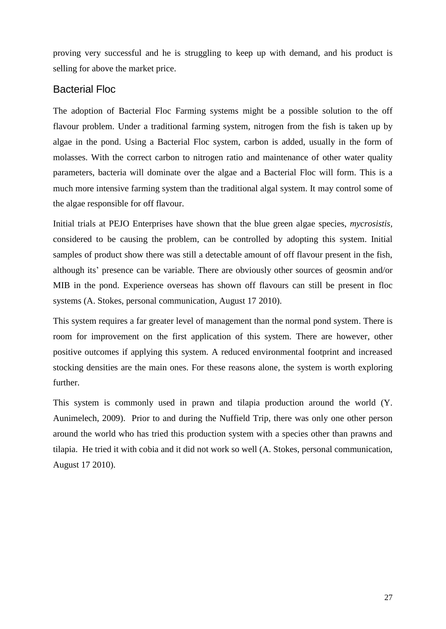proving very successful and he is struggling to keep up with demand, and his product is selling for above the market price.

#### Bacterial Floc

The adoption of Bacterial Floc Farming systems might be a possible solution to the off flavour problem. Under a traditional farming system, nitrogen from the fish is taken up by algae in the pond. Using a Bacterial Floc system, carbon is added, usually in the form of molasses. With the correct carbon to nitrogen ratio and maintenance of other water quality parameters, bacteria will dominate over the algae and a Bacterial Floc will form. This is a much more intensive farming system than the traditional algal system. It may control some of the algae responsible for off flavour.

Initial trials at PEJO Enterprises have shown that the blue green algae species, *mycrosistis,* considered to be causing the problem, can be controlled by adopting this system. Initial samples of product show there was still a detectable amount of off flavour present in the fish, although its' presence can be variable. There are obviously other sources of geosmin and/or MIB in the pond. Experience overseas has shown off flavours can still be present in floc systems (A. Stokes, personal communication, August 17 2010).

This system requires a far greater level of management than the normal pond system. There is room for improvement on the first application of this system. There are however, other positive outcomes if applying this system. A reduced environmental footprint and increased stocking densities are the main ones. For these reasons alone, the system is worth exploring further.

This system is commonly used in prawn and tilapia production around the world (Y. Aunimelech, 2009). Prior to and during the Nuffield Trip, there was only one other person around the world who has tried this production system with a species other than prawns and tilapia. He tried it with cobia and it did not work so well (A. Stokes, personal communication, August 17 2010).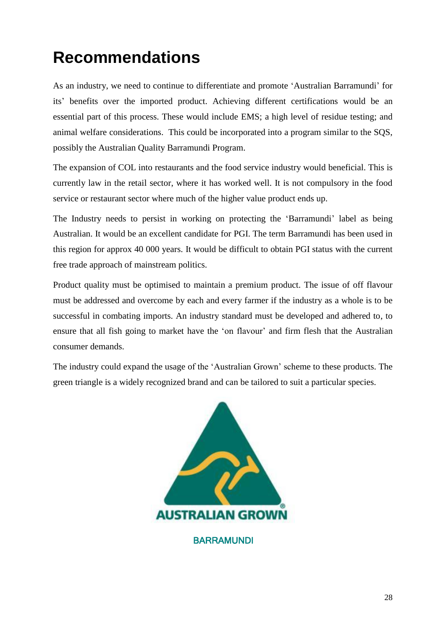## **Recommendations**

As an industry, we need to continue to differentiate and promote 'Australian Barramundi' for its' benefits over the imported product. Achieving different certifications would be an essential part of this process. These would include EMS; a high level of residue testing; and animal welfare considerations. This could be incorporated into a program similar to the SQS, possibly the Australian Quality Barramundi Program.

The expansion of COL into restaurants and the food service industry would beneficial. This is currently law in the retail sector, where it has worked well. It is not compulsory in the food service or restaurant sector where much of the higher value product ends up.

The Industry needs to persist in working on protecting the 'Barramundi' label as being Australian. It would be an excellent candidate for PGI. The term Barramundi has been used in this region for approx 40 000 years. It would be difficult to obtain PGI status with the current free trade approach of mainstream politics.

Product quality must be optimised to maintain a premium product. The issue of off flavour must be addressed and overcome by each and every farmer if the industry as a whole is to be successful in combating imports. An industry standard must be developed and adhered to, to ensure that all fish going to market have the 'on flavour' and firm flesh that the Australian consumer demands.

The industry could expand the usage of the 'Australian Grown' scheme to these products. The green triangle is a widely recognized brand and can be tailored to suit a particular species.



**BARRAMUNDI**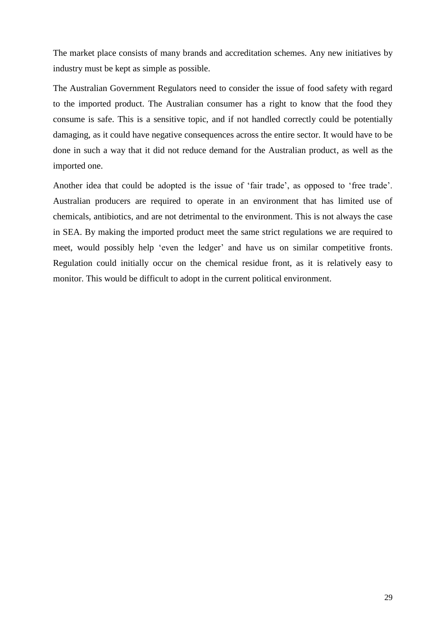The market place consists of many brands and accreditation schemes. Any new initiatives by industry must be kept as simple as possible.

The Australian Government Regulators need to consider the issue of food safety with regard to the imported product. The Australian consumer has a right to know that the food they consume is safe. This is a sensitive topic, and if not handled correctly could be potentially damaging, as it could have negative consequences across the entire sector. It would have to be done in such a way that it did not reduce demand for the Australian product, as well as the imported one.

Another idea that could be adopted is the issue of 'fair trade', as opposed to 'free trade'. Australian producers are required to operate in an environment that has limited use of chemicals, antibiotics, and are not detrimental to the environment. This is not always the case in SEA. By making the imported product meet the same strict regulations we are required to meet, would possibly help 'even the ledger' and have us on similar competitive fronts. Regulation could initially occur on the chemical residue front, as it is relatively easy to monitor. This would be difficult to adopt in the current political environment.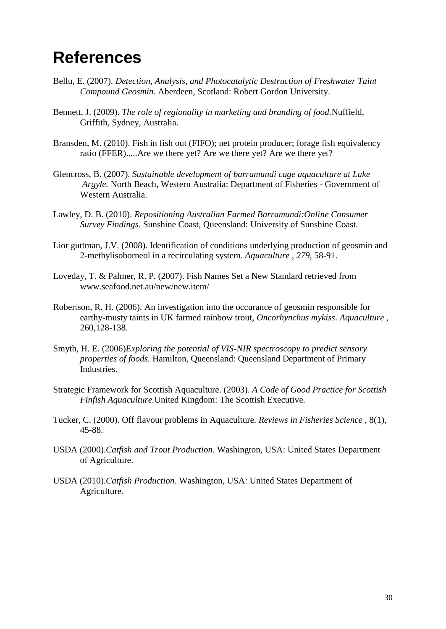### **References**

- Bellu, E. (2007). *Detection, Analysis, and Photocatalytic Destruction of Freshwater Taint Compound Geosmin.* Aberdeen, Scotland: Robert Gordon University.
- Bennett, J. (2009). *The role of regionality in marketing and branding of food.*Nuffield, Griffith, Sydney, Australia.
- Bransden, M. (2010). Fish in fish out (FIFO); net protein producer; forage fish equivalency ratio (FFER).....Are we there yet? Are we there yet? Are we there yet?
- Glencross, B. (2007). *Sustainable development of barramundi cage aquaculture at Lake Argyle.* North Beach, Western Australia: Department of Fisheries - Government of Western Australia.
- Lawley, D. B. (2010). *Repositioning Australian Farmed Barramundi:Online Consumer Survey Findings.* Sunshine Coast, Queensland: University of Sunshine Coast.
- Lior guttman, J.V. (2008). Identification of conditions underlying production of geosmin and 2-methylisoborneol in a recirculating system. *Aquaculture* , *279*, 58-91.
- Loveday, T. & Palmer, R. P. (2007). Fish Names Set a New Standard retrieved from www.seafood.net.au/new/new.item/
- Robertson, R. H. (2006). An investigation into the occurance of geosmin responsible for earthy-musty taints in UK farmed rainbow trout, *Oncorhynchus mykiss*. *Aquaculture* , 260,128-138.
- Smyth, H. E. (2006)*Exploring the potential of VIS-NIR spectroscopy to predict sensory properties of foods.* Hamilton, Queensland: Queensland Department of Primary Industries.
- Strategic Framework for Scottish Aquaculture. (2003). *A Code of Good Practice for Scottish Finfish Aquaculture.*United Kingdom: The Scottish Executive.
- Tucker, C. (2000). Off flavour problems in Aquaculture. *Reviews in Fisheries Science* , 8(1), 45-88.
- USDA (2000).*Catfish and Trout Production*. Washington, USA: United States Department of Agriculture.
- USDA (2010).*Catfish Production*. Washington, USA: United States Department of Agriculture.